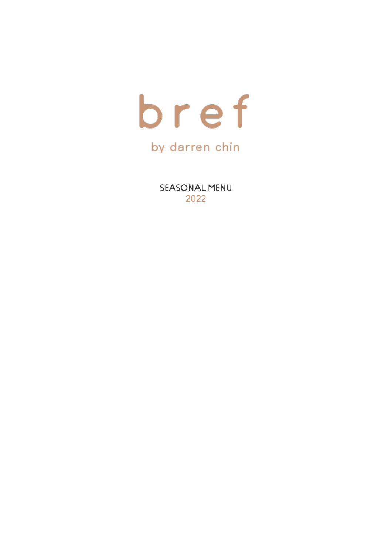

SEASONAL MENU 2022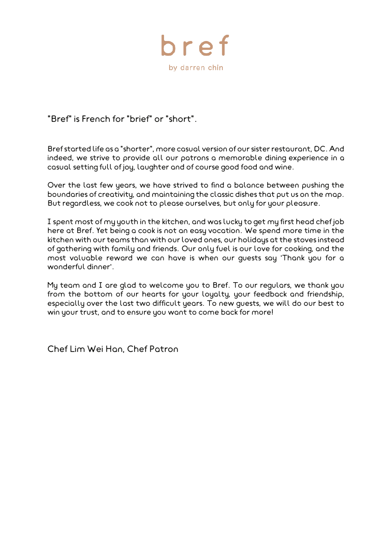

"Bref" is French for "brief" or "short".

Bref started life as a "shorter", more casual version of our sister restaurant, DC. And indeed, we strive to provide all our patrons a memorable dining experience in a casual setting full of joy, laughter and of course good food and wine.

Over the last few years, we have strived to find a balance between pushing the boundaries of creativity, and maintaining the classic dishes that put us on the map. But regardless, we cook not to please ourselves, but only for your pleasure.

I spent most of my youth in the kitchen, and was lucky to get my first head chef job here at Bref. Yet being a cook is not an easy vocation. We spend more time in the kitchen with our teams than with our loved ones, our holidays at the stoves instead of gathering with family and friends. Our only fuel is our love for cooking, and the most valuable reward we can have is when our guests say 'Thank you for a wonderful dinner'.

My team and I are glad to welcome you to Bref. To our regulars, we thank you from the bottom of our hearts for your loyalty, your feedback and friendship, especially over the last two difficult years. To new guests, we will do our best to win your trust, and to ensure you want to come back for more!

Chef Lim Wei Han, Chef Patron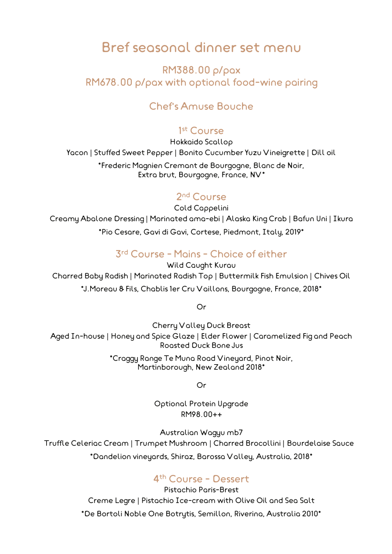# Bref seasonal dinner set menu

RM388.00 p/pax RM678.00 p/pax with optional food-wine pairing

### Chef's Amuse Bouche

#### 1 st Course

Hokkaido Scallop Yacon | Stuffed Sweet Pepper | Bonito Cucumber Yuzu Vineigrette | Dill oil \*Frederic Magnien Cremant de Bourgogne, Blanc de Noir, Extra brut, Bourgogne, France, NV\*

### 2<sup>nd</sup> Course

Cold Cappelini Creamy Abalone Dressing | Marinated ama-ebi | Alaska King Crab | Bafun Uni | Ikura \*Pio Cesare, Gavi di Gavi, Cortese, Piedmont, Italy, 2019\*

### 3 rd Course - Mains - Choice of either

Wild Caught Kurau

Charred Baby Radish | Marinated Radish Top | Buttermilk Fish Emulsion | Chives Oil \*J.Moreau & Fils, Chablis 1er Cru Vaillons, Bourgogne, France, 2018\*

Or

Cherry Valley Duck Breast Aged In-house | Honey and Spice Glaze | Elder Flower | Caramelized Fig and Peach Roasted Duck Bone Jus

> \*Craggy Range Te Muna Road Vineyard, Pinot Noir, Martinborough, New Zealand 2018\*

> > Or

Optional Protein Upgrade RM98.00**++**

Australian Wagyu mb7 Truffle Celeriac Cream | Trumpet Mushroom | Charred Brocollini | Bourdelaise Sauce \*Dandelion vineyards, Shiraz, Barossa Valley, Australia, 2018\*

#### 4 th Course - Dessert

Pistachio Paris-Brest Creme Legre | Pistachio Ice-cream with Olive Oil and Sea Salt \*De Bortoli Noble One Botrytis, Semillon, Riverina, Australia 2010\*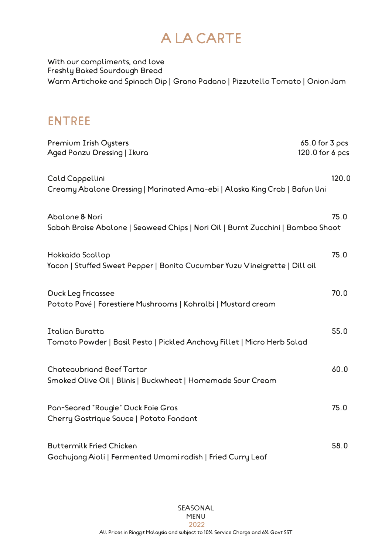# A LA CARTE

With our compliments, and love Freshly Baked Sourdough Bread Warm Artichoke and Spinach Dip | Grano Padano | Pizzutello Tomato | Onion Jam

### ENTREE

| Premium Irish Oysters<br>$65.0$ for $3$ pcs<br>Aged Ponzu Dressing   Ikuro<br>120.0 for 6 pcs     |       |
|---------------------------------------------------------------------------------------------------|-------|
| Cold Cappellini<br>Creamy Abalone Dressing   Marinated Ama-ebi   Alaska King Crab   Bafun Uni     | 120.0 |
| Abolone & Nori<br>Sabah Braise Abalone   Seaweed Chips   Nori Oil   Burnt Zucchini   Bamboo Shoot | 75.0  |
| Hokkaido Scallop<br>Yacon   Stuffed Sweet Pepper   Bonito Cucumber Yuzu Vineigrette   Dill oil    | 75.0  |
| <b>Duck Leg Fricossee</b><br>Potato Pavé   Forestiere Mushrooms   Kohralbi   Mustard cream        | 70.0  |
| <b>Italian Buratta</b><br>Tomato Powder   Basil Pesto   Pickled Anchovy Fillet   Micro Herb Salad | 55.0  |
| <b>Chateaubriand Beef Tartar</b><br>Smoked Olive Oil   Blinis   Buckwheat   Homemade Sour Cream   | 60.0  |
| Pan-Seared "Rougie" Duck Foie Gras<br>Cherry Gostrique Sauce   Potato Fondant                     | 75.0  |
| <b>Buttermilk Fried Chicken</b><br>Gochujang Aioli   Fermented Umami radish   Fried Curry Leaf    | 58.0  |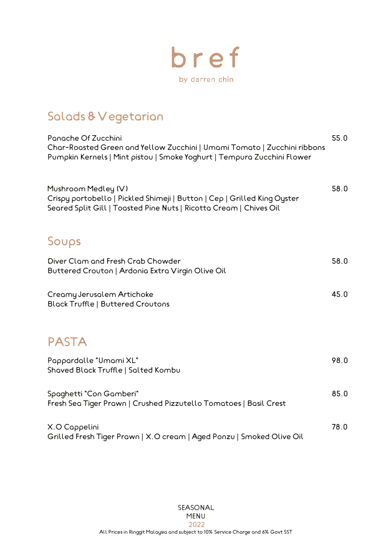

# Salads & Vegetarian

| Panache Of Zucchini<br>Char-Roasted Green and Yellow Zucchini   Umami Tomato   Zucchini ribbons<br>Pumpkin Kernels   Mint pistou   Smoke Yoghurt   Tempura Zucchini Flower | 55.0 |
|----------------------------------------------------------------------------------------------------------------------------------------------------------------------------|------|
| Mushroom Medley (V)<br>Crispy portobello   Pickled Shimeji   Button   Cep   Grilled King Oyster<br>Seared Split Gill   Toasted Pine Nuts   Ricotta Cream   Chives Oil      | 58.0 |
| Soups                                                                                                                                                                      |      |
| Diver Clam and Fresh Crab Chowder<br>Buttered Crouton   Ardonia Extra Virgin Olive Oil                                                                                     | 58.0 |
| Creamy Jerusalem Artichoke<br><b>Block Truffle   Buttered Croutons</b>                                                                                                     | 45.0 |
| <b>PASTA</b>                                                                                                                                                               |      |
| Pappardalle "Umami XL"<br>Shoved Block Truffle   Solted Kombu                                                                                                              | 98.0 |
| Spoghetti "Con Gomberi"<br>Fresh Sea Tiger Prawn   Crushed Pizzutello Tomatoes   Basil Crest                                                                               | 85.0 |
| X.O Cappelini<br>Grilled Fresh Tiger Prown   X.O cream   Aged Ponzu   Smoked Olive Oil                                                                                     | 78.0 |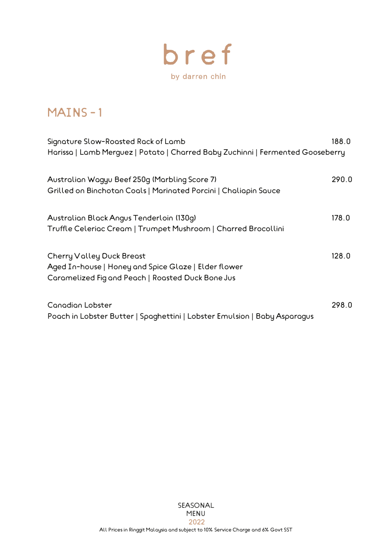

### MAINS - 1

| Signature Slow-Roasted Rack of Lamb<br>Harissa   Lamb Merguez   Potato   Charred Baby Zuchinni   Fermented Gooseberry | 188.0 |
|-----------------------------------------------------------------------------------------------------------------------|-------|
|                                                                                                                       |       |
| Australian Wagyu Beef 250g (Marbling Score 7)                                                                         | 290.0 |
| Grilled on Binchotan Coals   Marinated Porcini   Chaliapin Sauce                                                      |       |
| Australian Black Angus Tenderloin (130g)                                                                              | 178.0 |
| Truffle Celerioc Cream   Trumpet Mushroom   Charred Brocollini                                                        |       |
| <b>Cherry Valley Duck Breast</b>                                                                                      | 128.0 |
| Aged In-house   Honey and Spice Glaze   Elder flower                                                                  |       |
| Caramelized Fig and Peach   Roasted Duck Bone Jus                                                                     |       |
| <b>Conodion Lobster</b>                                                                                               | 298.0 |
| Poach in Lobster Butter   Spaghettini   Lobster Emulsion   Baby Asparagus                                             |       |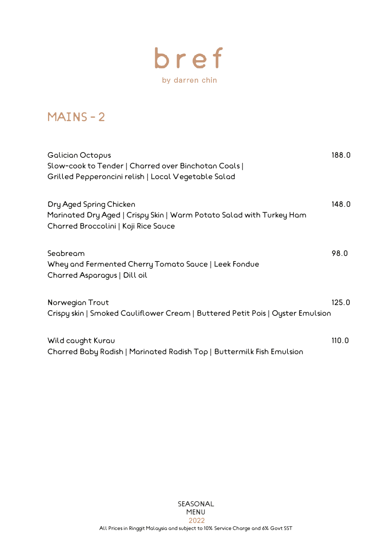

# MAINS - 2

| <b>Galician Octopus</b><br>Slow-cook to Tender   Charred over Binchotan Coals  <br>Grilled Pepperoncini relish   Local Vegetable Salad  | 188.0 |
|-----------------------------------------------------------------------------------------------------------------------------------------|-------|
| Dry Aged Spring Chicken<br>Marinated Dry Aged   Crispy Skin   Warm Potato Salad with Turkey Ham<br>Charred Broccolini   Koji Rice Sauce | 148.0 |
| Seabream<br>Whey and Fermented Cherry Tomato Sauce   Leek Fondue<br>Charred Asparagus   Dill oil                                        | 98.0  |
| Norwegian Trout<br>Crispy skin   Smoked Couliflower Cream   Buttered Petit Pois   Oyster Emulsion                                       | 125.0 |
| Wild cought Kurou<br>Charred Baby Radish   Marinated Radish Top   Buttermilk Fish Emulsion                                              | 110.0 |